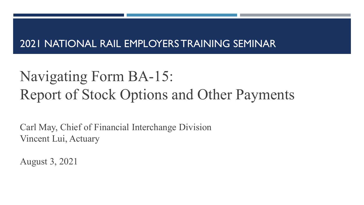#### 2021 NATIONAL RAIL EMPLOYERS TRAINING SEMINAR

# Navigating Form BA-15: Report of Stock Options and Other Payments

Carl May, Chief of Financial Interchange Division Vincent Lui, Actuary

August 3, 2021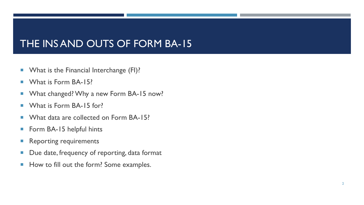#### THE INS AND OUTS OF FORM BA-15

- **Notable 12 September 2018 What is the Financial Interchange (FI)?**
- What is Form BA-15?
- **Now What changed? Why a new Form BA-15 now?**
- **Notable 15 What is Form BA-15 for?**
- What data are collected on Form BA-15?
- Form BA-15 helpful hints
- **Reporting requirements**
- Due date, frequency of reporting, data format
- How to fill out the form? Some examples.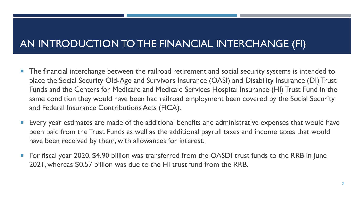## AN INTRODUCTION TO THE FINANCIAL INTERCHANGE (FI)

- **The financial interchange between the railroad retirement and social security systems is intended to** place the Social Security Old-Age and Survivors Insurance (OASI) and Disability Insurance (DI) Trust Funds and the Centers for Medicare and Medicaid Services Hospital Insurance (HI) Trust Fund in the same condition they would have been had railroad employment been covered by the Social Security and Federal Insurance Contributions Acts (FICA).
- Every year estimates are made of the additional benefits and administrative expenses that would have been paid from the Trust Funds as well as the additional payroll taxes and income taxes that would have been received by them, with allowances for interest.
- For fiscal year 2020, \$4.90 billion was transferred from the OASDI trust funds to the RRB in June 2021, whereas \$0.57 billion was due to the HI trust fund from the RRB.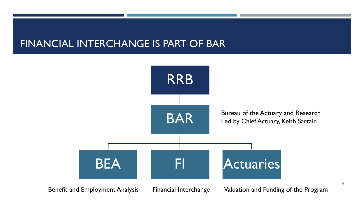#### FINANCIAL INTERCHANGE IS PART OF BAR



4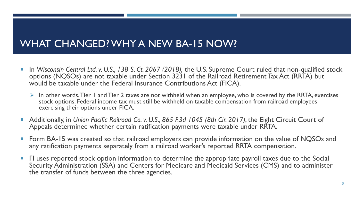#### WHAT CHANGED? WHY A NEW BA-15 NOW?

- In *Wisconsin Central Ltd. v. U.S., 138 S. Ct. 2067 (2018),* the U.S. Supreme Court ruled that non-qualified stock options (NQSOs) are not taxable under Section 3231 of the Railroad Retirement Tax Act (RRTA) but would be taxable under the Federal Insurance Contributions Act (FICA).
	- $\triangleright$  In other words, Tier 1 and Tier 2 taxes are not withheld when an employee, who is covered by the RRTA, exercises stock options. Federal income tax must still be withheld on taxable compensation from railroad employees exercising their options under FICA.
- Additionally, in *Union Pacific Railroad Co. v. U.S., 865 F.3d 1045 (8th Cir. 2017)*, the Eight Circuit Court of Appeals determined whether certain ratification payments were taxable under RRTA.
- Form BA-15 was created so that railroad employers can provide information on the value of NQSOs and any ratification payments separately from a railroad worker's reported RRTA compensation.
- **FI uses reported stock option information to determine the appropriate payroll taxes due to the Social** Security Administration (SSA) and Centers for Medicare and Medicaid Services (CMS) and to administer the transfer of funds between the three agencies.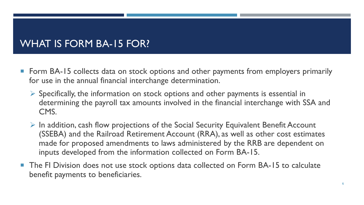#### WHAT IS FORM BA-15 FOR?

- Form BA-15 collects data on stock options and other payments from employers primarily for use in the annual financial interchange determination.
	- $\triangleright$  Specifically, the information on stock options and other payments is essential in determining the payroll tax amounts involved in the financial interchange with SSA and CMS.
	- $\triangleright$  In addition, cash flow projections of the Social Security Equivalent Benefit Account (SSEBA) and the Railroad Retirement Account (RRA), as well as other cost estimates made for proposed amendments to laws administered by the RRB are dependent on inputs developed from the information collected on Form BA-15.
- The FI Division does not use stock options data collected on Form BA-15 to calculate benefit payments to beneficiaries.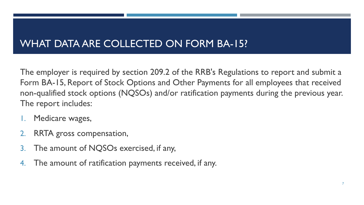#### WHAT DATA ARE COLLECTED ON FORM BA-15?

The employer is required by section 209.2 of the RRB's Regulations to report and submit a Form BA-15, Report of Stock Options and Other Payments for all employees that received non-qualified stock options (NQSOs) and/or ratification payments during the previous year. The report includes:

- Medicare wages,
- 2. RRTA gross compensation,
- 3. The amount of NQSOs exercised, if any,
- 4. The amount of ratification payments received, if any.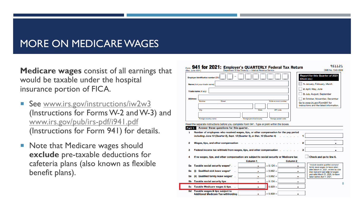#### MORE ON MEDICARE WAGES

**Medicare wages** consist of all earnings that would be taxable under the hospital insurance portion of FICA.

- See [www.irs.gov/instructions/iw2w3](http://www.irs.gov/instructions/iw2w3) (Instructions for Forms W-2 and W-3) and [www.irs.gov/pub/irs](http://www.irs.gov/pub/irs-pdf/i941.pdf) -pdf/i941.pdf (Instructions for Form 941) for details.
- Note that Medicare wages should **exclude** pre -taxable deductions for cafeteria plans (also known as flexible benefit plans).

| (Rev. June 2021) | 941 for 2021: Employer's QUARTERLY Federal Tax Return                                    | Department of the Treasury - Internal Revenue Service |                      |                     | 951121<br>OMB No. 1545-0029                                                                                                                                  |
|------------------|------------------------------------------------------------------------------------------|-------------------------------------------------------|----------------------|---------------------|--------------------------------------------------------------------------------------------------------------------------------------------------------------|
|                  | Employer identification number (EIN)                                                     |                                                       |                      |                     | <b>Report for this Quarter of 2021</b><br>(Check one.)                                                                                                       |
|                  | Name (not your trade name)                                                               |                                                       |                      |                     | 1: January, February, March                                                                                                                                  |
|                  |                                                                                          |                                                       |                      |                     | 2: April, May, June                                                                                                                                          |
|                  | Trade name (if any)                                                                      |                                                       |                      |                     | 3: July, August, September                                                                                                                                   |
| <b>Address</b>   |                                                                                          |                                                       |                      |                     | 4: October, November, December                                                                                                                               |
|                  | Number<br>Street                                                                         |                                                       | Suite or room number |                     | Go to www.irs.gov/Form941 for<br>instructions and the latest information.                                                                                    |
|                  | City                                                                                     | State                                                 | ZIP code             |                     |                                                                                                                                                              |
|                  |                                                                                          |                                                       |                      |                     |                                                                                                                                                              |
|                  | Foreign country name                                                                     | Foreign province/county                               | Foreign postal code  |                     |                                                                                                                                                              |
| 2                | Wages, tips, and other compensation                                                      |                                                       |                      |                     | 2                                                                                                                                                            |
| з                | Federal income tax withheld from wages, tips, and other compensation.                    |                                                       |                      |                     | 3                                                                                                                                                            |
| 4                | If no wages, tips, and other compensation are subject to social security or Medicare tax |                                                       |                      |                     | Check and go to line 6.                                                                                                                                      |
|                  |                                                                                          | Column <sub>1</sub>                                   |                      | Column <sub>2</sub> |                                                                                                                                                              |
| 5a               | Taxable social security wages*.                                                          | ٠                                                     | $\times$ 0.124 =     | ٠                   | *Include taxable qualified sick and                                                                                                                          |
| (i)<br>5a        |                                                                                          |                                                       | $\times 0.062 =$     | ٠                   |                                                                                                                                                              |
| 5a               | Qualified sick leave wages*                                                              |                                                       |                      |                     |                                                                                                                                                              |
|                  | (ii) Qualified family leave wages*                                                       | ٠                                                     | $\times 0.062 =$     | $\blacksquare$      | taken before April 1, 2021.                                                                                                                                  |
| 5b               | Taxable social security tips                                                             |                                                       | $\times$ 0.124 =     | ٠                   |                                                                                                                                                              |
| 5с               | Taxable Medicare wages & tips.                                                           |                                                       | $0.029 =$            | ٠                   | family leave wages for leave taken<br>after March 31, 2021, on line 5a, Use<br>lines 5a(i) and 5a(ii) only for wages<br>paid after March 31, 2020, for leave |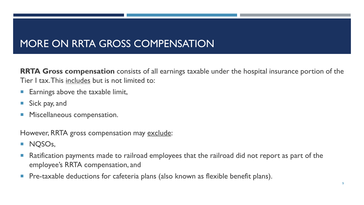### MORE ON RRTA GROSS COMPENSATION

**RRTA Gross compensation** consists of all earnings taxable under the hospital insurance portion of the Tier I tax. This includes but is not limited to:

- **Earnings above the taxable limit,**
- Sick pay, and
- **Miscellaneous compensation.**

However, RRTA gross compensation may exclude:

- **NQSOs,**
- **Ratification payments made to railroad employees that the railroad did not report as part of the** employee's RRTA compensation, and
- Pre-taxable deductions for cafeteria plans (also known as flexible benefit plans).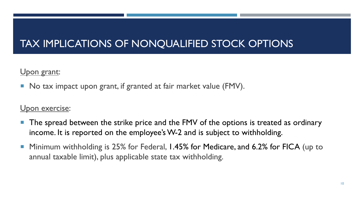### TAX IMPLICATIONS OF NONQUALIFIED STOCK OPTIONS

Upon grant:

■ No tax impact upon grant, if granted at fair market value (FMV).

#### Upon exercise:

- The spread between the strike price and the FMV of the options is treated as ordinary income. It is reported on the employee's W-2 and is subject to withholding.
- Minimum withholding is 25% for Federal, 1.45% for Medicare, and 6.2% for FICA (up to annual taxable limit), plus applicable state tax withholding.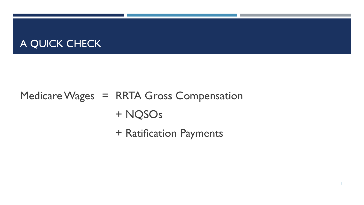#### A QUICK CHECK

## Medicare Wages = RRTA Gross Compensation + NQSOs

+ Ratification Payments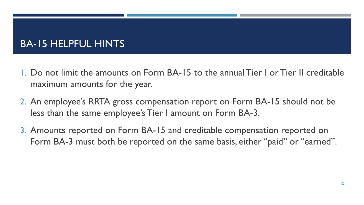#### BA-15 HELPFUL HINTS

- 1. Do not limit the amounts on Form BA-15 to the annual Tier I or Tier II creditable maximum amounts for the year.
- 2. An employee's RRTA gross compensation report on Form BA-15 should not be less than the same employee's Tier I amount on Form BA-3.
- 3. Amounts reported on Form BA-15 and creditable compensation reported on Form BA-3 must both be reported on the same basis, either "paid" or "earned".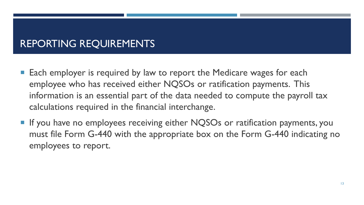#### REPORTING REQUIREMENTS

- Each employer is required by law to report the Medicare wages for each employee who has received either NQSOs or ratification payments. This information is an essential part of the data needed to compute the payroll tax calculations required in the financial interchange.
- If you have no employees receiving either NQSOs or ratification payments, you must file Form G-440 with the appropriate box on the Form G-440 indicating no employees to report.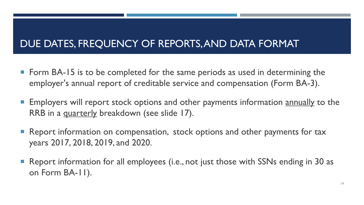#### DUE DATES, FREQUENCY OF REPORTS, AND DATA FORMAT

- Form BA-15 is to be completed for the same periods as used in determining the employer's annual report of creditable service and compensation (Form BA-3).
- **Employers will report stock options and other payments information annually to the** RRB in a quarterly breakdown (see slide 17).
- Report information on compensation, stock options and other payments for tax years 2017, 2018, 2019, and 2020.
- Report information for all employees (i.e., not just those with SSNs ending in 30 as on Form BA-11).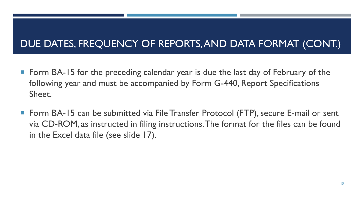### DUE DATES, FREQUENCY OF REPORTS, AND DATA FORMAT (CONT.)

- Form BA-15 for the preceding calendar year is due the last day of February of the following year and must be accompanied by Form G-440, Report Specifications Sheet.
- Form BA-15 can be submitted via File Transfer Protocol (FTP), secure E-mail or sent via CD-ROM, as instructed in filing instructions. The format for the files can be found in the Excel data file (see slide 17).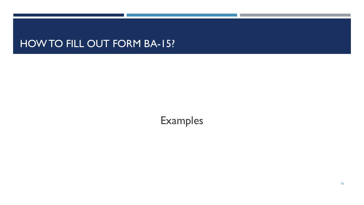#### **HOW TO FILL OUT FORM BA-15?**

## Examples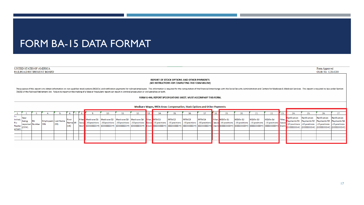#### FORM BA-15 DATA FORMAT

| UNITED STATES OF AMERICA                                               |                                                                                                                                                                                                                                                                                                                                                                                                                                                                                                                                                                                                                |            |                                     |                          |  |  |                                                                                                                                                                                                                                                                                                                                                                        |     |                                                                                                                                       |     |     |         |         |         |     |                  |          |                            |                                 |         |                              |                                                                                                                                                                                        | Form Approved<br>OMB No. 3220-0203          |              |
|------------------------------------------------------------------------|----------------------------------------------------------------------------------------------------------------------------------------------------------------------------------------------------------------------------------------------------------------------------------------------------------------------------------------------------------------------------------------------------------------------------------------------------------------------------------------------------------------------------------------------------------------------------------------------------------------|------------|-------------------------------------|--------------------------|--|--|------------------------------------------------------------------------------------------------------------------------------------------------------------------------------------------------------------------------------------------------------------------------------------------------------------------------------------------------------------------------|-----|---------------------------------------------------------------------------------------------------------------------------------------|-----|-----|---------|---------|---------|-----|------------------|----------|----------------------------|---------------------------------|---------|------------------------------|----------------------------------------------------------------------------------------------------------------------------------------------------------------------------------------|---------------------------------------------|--------------|
|                                                                        | RAILROAD RETIREMENT BOARD<br>REPORT OF STOCK OPTIONS AND OTHER PAYMENTS<br>(SEE INSTRUCTIONS FOR COMPLETING THIS FORM BELOW)<br>The purpose of this report is to obtain information on non-qualified stock options (NQSOs) and ratification payments for railroad employees. This information is required for the computation of the Financial Interchange wit<br>7(b)(6) of the Railroad Retirement Act. Failure to report or the making of a false or fraudulent report can result in criminal prosecution or civil penalties or both.<br>FORM G-440, REPORT SPECIFICATIONS SHEET, MUST ACCOMPANY THIS FORM. |            |                                     |                          |  |  |                                                                                                                                                                                                                                                                                                                                                                        |     |                                                                                                                                       |     |     |         |         |         |     |                  |          |                            |                                 |         |                              |                                                                                                                                                                                        |                                             |              |
|                                                                        | Medicare Wages, RRTA Gross Compensation, Stock Options and Other Payments                                                                                                                                                                                                                                                                                                                                                                                                                                                                                                                                      |            |                                     |                          |  |  |                                                                                                                                                                                                                                                                                                                                                                        |     |                                                                                                                                       |     |     |         |         |         |     |                  |          |                            |                                 |         |                              |                                                                                                                                                                                        |                                             |              |
|                                                                        |                                                                                                                                                                                                                                                                                                                                                                                                                                                                                                                                                                                                                |            |                                     |                          |  |  | 10.                                                                                                                                                                                                                                                                                                                                                                    | 11. | 12.                                                                                                                                   | 13. | 14. | 15.     |         | 17.     | 18. | 19.              | 20.      | 21                         | 22.                             | 23.     | 24.                          | 25.                                                                                                                                                                                    |                                             | 27.          |
| l =<br>Year<br>Initial<br>bein:<br>$R =$<br>Replac<br>(CCYY).<br>ement | reported Number                                                                                                                                                                                                                                                                                                                                                                                                                                                                                                                                                                                                | <b>SSN</b> | <b>Employee's Last Name</b><br>(20) | First<br>Name MI<br>(15) |  |  | Filler Medicare Q1   Medicare Q2   Medicare Q3   Medicare Q4   Filler, RRTA Q1<br>leave - 10 positions - 10 positions - 10 positions<br>[65555555551] [55555555555566] [5555555566] [5555555566] [blank] 555555555666] [55555555666] [555555555666] [555555555666] [blank] [555555555666] [555555555666] [55555555666] [55555555666] [55555555666] [5555555566] [55555 |     | -10 positions   leave   10 positions   - 10 positions   - 10 positions   - 10 positions   leave   - 10 positions   - 10 positions   - |     |     | RRTA Q2 | RRTA Q3 | RRTA Q4 |     | Filler, NQSOs Q1 | NQSOs Q2 | NQSOs Q3<br>- 10 positions | NQSOs Q4<br>-10 positions leave | Filler, | Ratification<br>10 positions | Ratification<br>Payments Q1   Payments Q2   Payments Q3   Payments Q4<br>-10 positions<br>[\$\$\$\$\$\$\$\$\$cc)  (\$\$\$\$\$\$\$\$\$cc)  (\$\$\$\$\$\$\$\$cc)  (\$\$\$\$\$\$\$\$\$cc) | Ratification<br>-10 positions -10 positions | Ratification |
|                                                                        |                                                                                                                                                                                                                                                                                                                                                                                                                                                                                                                                                                                                                |            |                                     |                          |  |  |                                                                                                                                                                                                                                                                                                                                                                        |     |                                                                                                                                       |     |     |         |         |         |     |                  |          |                            |                                 |         |                              |                                                                                                                                                                                        |                                             |              |
|                                                                        |                                                                                                                                                                                                                                                                                                                                                                                                                                                                                                                                                                                                                |            |                                     |                          |  |  |                                                                                                                                                                                                                                                                                                                                                                        |     |                                                                                                                                       |     |     |         |         |         |     |                  |          |                            |                                 |         |                              |                                                                                                                                                                                        |                                             |              |
|                                                                        |                                                                                                                                                                                                                                                                                                                                                                                                                                                                                                                                                                                                                |            |                                     |                          |  |  |                                                                                                                                                                                                                                                                                                                                                                        |     |                                                                                                                                       |     |     |         |         |         |     |                  |          |                            |                                 |         |                              |                                                                                                                                                                                        |                                             |              |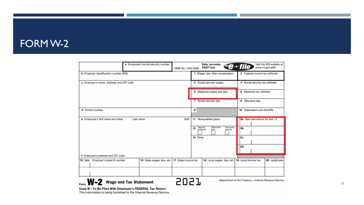#### FORM W-2

|                                               | a Employee's social security number | OMB No. 1545-0008   | Safe, accurate,<br><b>FAST! Use</b>                                           | Visit the IRS website at<br>$\textsf{I} \textsf{R} \textsf{s} \textsf{P} \textsf{-} \textsf{file}$<br>www.irs.gov/efile |  |  |
|-----------------------------------------------|-------------------------------------|---------------------|-------------------------------------------------------------------------------|-------------------------------------------------------------------------------------------------------------------------|--|--|
| <b>b</b> Employer identification number (EIN) |                                     |                     | 1 Wages, tips, other compensation                                             | 2 Federal income tax withheld                                                                                           |  |  |
| c Employer's name, address, and ZIP code      |                                     |                     | 3 Social security wages                                                       | 4 Social security tax withheld                                                                                          |  |  |
|                                               |                                     |                     | 5 Medicare wages and tips<br>6 Medicare tax withheld                          |                                                                                                                         |  |  |
|                                               |                                     |                     | 7 Social security tips                                                        | 8 Allocated tips                                                                                                        |  |  |
| d Control number                              |                                     | 9                   | 10 Dependent care benefits                                                    |                                                                                                                         |  |  |
| e Employee's first name and initial           | Last name                           | Suff.               | 11 Nonqualified plans                                                         | 12a See instructions for box 12                                                                                         |  |  |
|                                               |                                     | 13                  | <b>Retirement</b><br>Third-party<br>Statutory<br>employee<br>sick pay<br>plan | 12 <sub>b</sub>                                                                                                         |  |  |
|                                               |                                     | 14 Other            |                                                                               | 12 <sub>c</sub>                                                                                                         |  |  |
|                                               |                                     |                     |                                                                               | 12d<br>d                                                                                                                |  |  |
| f Employee's address and ZIP code             |                                     |                     |                                                                               |                                                                                                                         |  |  |
| 15 State Employer's state ID number           | 16 State wages, tips, etc.          | 17 State income tax | 18 Local wages, tips, etc. 19 Local income tax                                | 20 Locality name                                                                                                        |  |  |
|                                               |                                     |                     |                                                                               |                                                                                                                         |  |  |
| Form <b>W-2</b> Wage and Tax Statement        |                                     | 5051                |                                                                               | Department of the Treasury-Internal Revenue Service                                                                     |  |  |

Copy B-To Be Filed With Employee's FEDERAL Tax Return.<br>This information is being furnished to the Internal Revenue Service.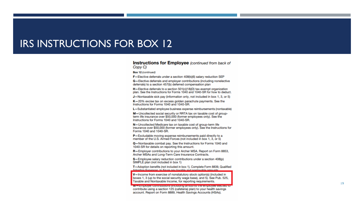#### IRS INSTRUCTIONS FOR BOX 12

#### **Instructions for Employee** (continued from back of Copy C)

Box 12 (continued)

F-Elective deferrals under a section 408(k)(6) salary reduction SEP

G-Elective deferrals and employer contributions (including nonelective deferrals) to a section 457(b) deferred compensation plan

H-Elective deferrals to a section 501(c)(18)(D) tax-exempt organization plan. See the Instructions for Forms 1040 and 1040-SR for how to deduct.

J-Nontaxable sick pay (information only, not included in box 1, 3, or 5)

 $K-20%$  excise tax on excess golden parachute payments. See the Instructions for Forms 1040 and 1040-SR.

L-Substantiated employee business expense reimbursements (nontaxable)

M-Uncollected social security or RRTA tax on taxable cost of groupterm life insurance over \$50,000 (former employees only). See the Instructions for Forms 1040 and 1040-SR.

N-Uncollected Medicare tax on taxable cost of group-term life insurance over \$50,000 (former employees only). See the Instructions for Forms 1040 and 1040-SR.

P-Excludable moving expense reimbursements paid directly to a member of the U.S. Armed Forces (not included in box 1, 3, or 5)

Q-Nontaxable combat pay. See the Instructions for Forms 1040 and 1040-SR for details on reporting this amount.

R-Employer contributions to your Archer MSA. Report on Form 8853, Archer MSAs and Long-Term Care Insurance Contracts.

S-Employee salary reduction contributions under a section 408(p) SIMPLE plan (not included in box 1)

T-Adoption benefits (not included in box 1). Complete Form 8839, Qualified Adontion Expenses to figure any taxable and nontaxable amounts

V-Income from exercise of nonstatutory stock option(s) (included in boxes 1, 3 (up to the social security wage base), and 5). See Pub. 525, Taxable and Nontaxable Income, for reporting requirements.

<u>м — епримуат социновногіє нисковик тапіонніє нів апріоуватаються (от </u> contribute using a section 125 (cafeteria) plan) to your health savings account. Report on Form 8889, Health Savings Accounts (HSAs).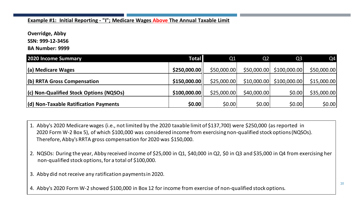#### **Example #1: Initial Reporting - "I"; Medicare Wages Above The Annual Taxable Limit**

**Overridge, Abby**

**SSN: 999-12-3456**

**BA Number: 9999**

| <b>2020 Income Summary</b>              | <b>Total</b> | Q1          | Q <sub>2</sub> | Q <sub>3</sub> | Q4          |
|-----------------------------------------|--------------|-------------|----------------|----------------|-------------|
| (a) Medicare Wages                      | \$250,000.00 | \$50,000.00 | \$50,000.00    | \$100,000.00   | \$50,000.00 |
| (b) RRTA Gross Compensation             | \$150,000.00 | \$25,000.00 | \$10,000.00    | \$100,000.00   | \$15,000.00 |
| (c) Non-Qualified Stock Options (NQSOs) | \$100,000.00 | \$25,000.00 | \$40,000.00    | \$0.00         | \$35,000.00 |
| (d) Non-Taxable Ratification Payments   | \$0.00       | \$0.00      | \$0.00         | \$0.00         | \$0.00      |

- 1. Abby's 2020 Medicare wages (i.e., not limited by the 2020 taxable limit of \$137,700) were \$250,000 (as reported in 2020 Form W-2 Box 5), of which \$100,000 was considered income from exercising non-qualified stock options (NQSOs). Therefore, Abby's RRTA gross compensation for 2020 was \$150,000.
- 2. NQSOs: During the year, Abby received income of \$25,000 in Q1, \$40,000 in Q2, \$0 in Q3 and \$35,000 in Q4 from exercising her non-qualified stock options, for a total of \$100,000.
- 3. Abby did not receive any ratification payments in 2020.
- 4. Abby's 2020 Form W-2 showed \$100,000 in Box 12 for income from exercise of non-qualified stock options.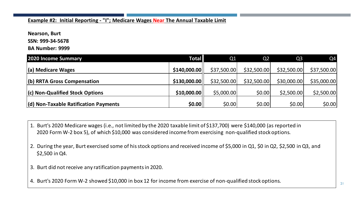#### **Example #2: Initial Reporting - "I"; Medicare Wages Near The Annual Taxable Limit**

**Nearson, Burt**

**SSN: 999-34-5678**

**BA Number: 9999**

| <b>2020 Income Summary</b>                    | <b>Total</b> | Q <sub>1</sub> | Q <sub>2</sub> | Q <sub>3</sub> | Q4          |
|-----------------------------------------------|--------------|----------------|----------------|----------------|-------------|
| (a) Medicare Wages                            | \$140,000.00 | \$37,500.00    | \$32,500.00    | \$32,500.00    | \$37,500.00 |
| (b) RRTA Gross Compensation                   | \$130,000.00 | \$32,500.00    | \$32,500.00    | \$30,000.00    | \$35,000.00 |
| (c) Non-Qualified Stock Options               | \$10,000.00  | \$5,000.00     | \$0.00         | \$2,500.00     | \$2,500.00  |
| $\vert$ (d) Non-Taxable Ratification Payments | \$0.00       | \$0.00         | \$0.00         | \$0.00         | \$0.00      |

- 1. Burt's 2020 Medicare wages (i.e., not limited by the 2020 taxable limit of \$137,700) were \$140,000 (as reported in 2020 Form W-2 box 5), of which \$10,000 was considered income from exercising non-qualified stock options.
- 2. During the year, Burt exercised some of his stock options and received income of \$5,000 in Q1, \$0 in Q2, \$2,500 in Q3, and \$2,500 in Q4.
- 3. Burt did not receive any ratification payments in 2020.

4. Burt's 2020 Form W-2 showed \$10,000 in box 12 for income from exercise of non-qualified stock options.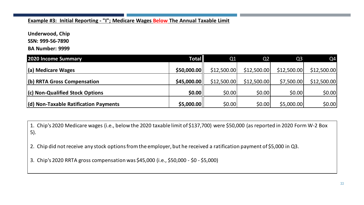#### **Example #3: Initial Reporting - "I"; Medicare Wages Below The Annual Taxable Limit**

**Underwood, Chip**

**SSN: 999-56-7890**

**BA Number: 9999**

| <b>2020 Income Summary</b>                    | <b>Total</b> | Q1          | Q <sub>2</sub> | Q <sub>3</sub> | Q4          |
|-----------------------------------------------|--------------|-------------|----------------|----------------|-------------|
| (a) Medicare Wages                            | \$50,000.00  | \$12,500.00 | \$12,500.00    | \$12,500.00    | \$12,500.00 |
| (b) RRTA Gross Compensation                   | \$45,000.00  | \$12,500.00 | \$12,500.00    | \$7,500.00     | \$12,500.00 |
| (c) Non-Qualified Stock Options               | \$0.00       | \$0.00      | \$0.00         | \$0.00         | \$0.00      |
| $\vert$ (d) Non-Taxable Ratification Payments | \$5,000.00   | \$0.00      | \$0.00         | \$5,000.00     | \$0.00      |

1. Chip's 2020 Medicare wages (i.e., below the 2020 taxable limit of \$137,700) were \$50,000 (as reported in 2020 Form W-2 Box 5).

2. Chip did not receive any stock options from the employer, but he received a ratification payment of \$5,000 in Q3.

3. Chip's 2020 RRTA gross compensation was \$45,000 (i.e., \$50,000 - \$0 - \$5,000)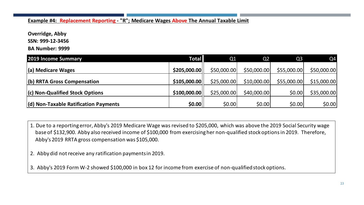**Example #4: Replacement Reporting - "R"; Medicare Wages Above The Annual Taxable Limit**

**Overridge, Abby**

**SSN: 999-12-3456**

**BA Number: 9999**

| <b>2019 Income Summary</b>                    | <b>Total</b> | Q1           | Q <sub>2</sub> | Q <sub>3</sub> | Q4          |
|-----------------------------------------------|--------------|--------------|----------------|----------------|-------------|
| (a) Medicare Wages                            | \$205,000.00 | \$50,000.00  | \$50,000.00    | \$55,000.00    | \$50,000.00 |
| (b) RRTA Gross Compensation                   | \$105,000.00 | \$25,000.00  | \$10,000.00    | \$55,000.00    | \$15,000.00 |
| (c) Non-Qualified Stock Options               | \$100,000.00 | \$25,000.00] | \$40,000.00]   | \$0.00         | \$35,000.00 |
| $\vert$ (d) Non-Taxable Ratification Payments | \$0.00       | \$0.00       | \$0.00         | \$0.00         | \$0.00      |

1. Due to a reporting error, Abby's 2019 Medicare Wage was revised to \$205,000, which was above the 2019 Social Security wage base of \$132,900. Abby also received income of \$100,000 from exercising her non-qualified stock options in 2019. Therefore, Abby's 2019 RRTA gross compensation was \$105,000.

2. Abby did not receive any ratification payments in 2019.

3. Abby's 2019 Form W-2 showed \$100,000 in box 12 for income from exercise of non-qualified stock options.